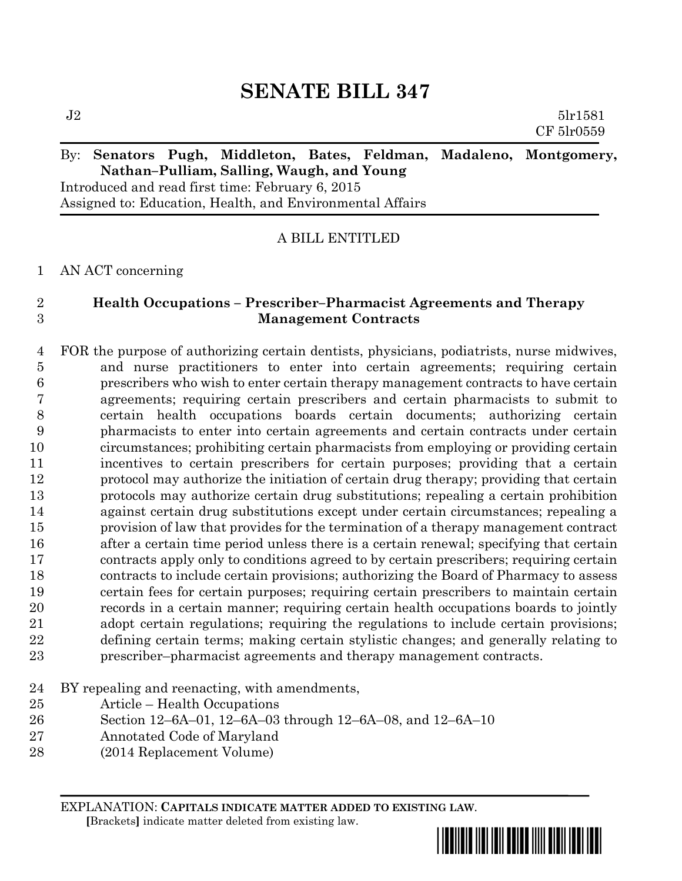## **SENATE BILL 347**

 $J2 \t\t 5\text{l}r1581$ CF 5lr0559 By: **Senators Pugh, Middleton, Bates, Feldman, Madaleno, Montgomery,** 

# **Nathan–Pulliam, Salling, Waugh, and Young**

Introduced and read first time: February 6, 2015 Assigned to: Education, Health, and Environmental Affairs

A BILL ENTITLED

AN ACT concerning

### **Health Occupations – Prescriber–Pharmacist Agreements and Therapy Management Contracts**

 FOR the purpose of authorizing certain dentists, physicians, podiatrists, nurse midwives, and nurse practitioners to enter into certain agreements; requiring certain prescribers who wish to enter certain therapy management contracts to have certain agreements; requiring certain prescribers and certain pharmacists to submit to certain health occupations boards certain documents; authorizing certain pharmacists to enter into certain agreements and certain contracts under certain circumstances; prohibiting certain pharmacists from employing or providing certain incentives to certain prescribers for certain purposes; providing that a certain protocol may authorize the initiation of certain drug therapy; providing that certain protocols may authorize certain drug substitutions; repealing a certain prohibition against certain drug substitutions except under certain circumstances; repealing a provision of law that provides for the termination of a therapy management contract after a certain time period unless there is a certain renewal; specifying that certain contracts apply only to conditions agreed to by certain prescribers; requiring certain contracts to include certain provisions; authorizing the Board of Pharmacy to assess certain fees for certain purposes; requiring certain prescribers to maintain certain records in a certain manner; requiring certain health occupations boards to jointly adopt certain regulations; requiring the regulations to include certain provisions; defining certain terms; making certain stylistic changes; and generally relating to prescriber–pharmacist agreements and therapy management contracts.

- BY repealing and reenacting, with amendments,
- Article Health Occupations
- Section 12–6A–01, 12–6A–03 through 12–6A–08, and 12–6A–10
- Annotated Code of Maryland
- (2014 Replacement Volume)

EXPLANATION: **CAPITALS INDICATE MATTER ADDED TO EXISTING LAW**.  **[**Brackets**]** indicate matter deleted from existing law.

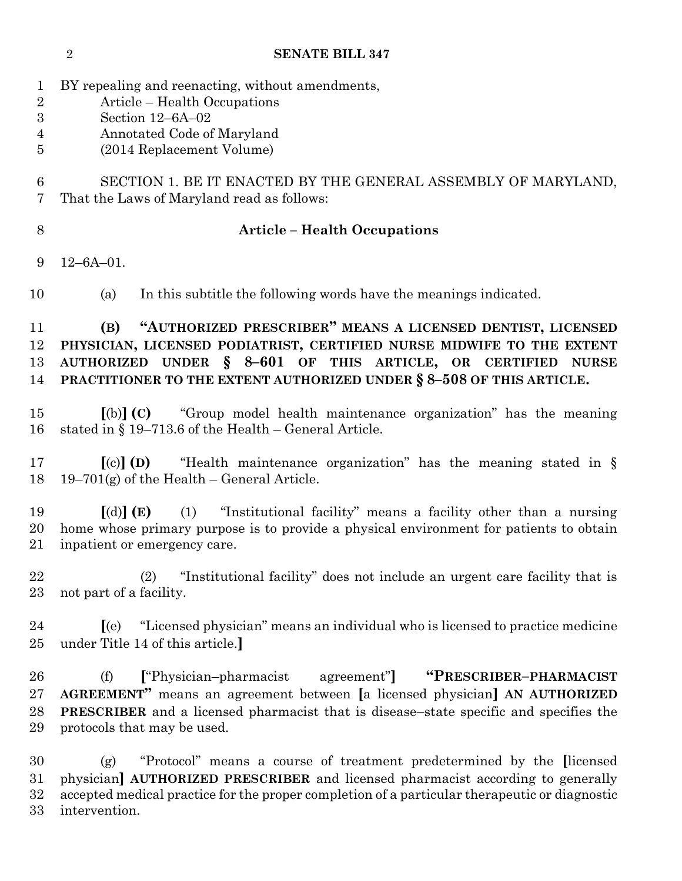BY repealing and reenacting, without amendments, Article – Health Occupations Section 12–6A–02 Annotated Code of Maryland (2014 Replacement Volume) SECTION 1. BE IT ENACTED BY THE GENERAL ASSEMBLY OF MARYLAND, That the Laws of Maryland read as follows: **Article – Health Occupations** 12–6A–01. (a) In this subtitle the following words have the meanings indicated. **(B) "AUTHORIZED PRESCRIBER" MEANS A LICENSED DENTIST, LICENSED PHYSICIAN, LICENSED PODIATRIST, CERTIFIED NURSE MIDWIFE TO THE EXTENT AUTHORIZED UNDER § 8–601 OF THIS ARTICLE, OR CERTIFIED NURSE PRACTITIONER TO THE EXTENT AUTHORIZED UNDER § 8–508 OF THIS ARTICLE. [**(b)**] (C)** "Group model health maintenance organization" has the meaning stated in § 19–713.6 of the Health – General Article. **[**(c)**] (D)** "Health maintenance organization" has the meaning stated in § 18 19–701(g) of the Health – General Article. **[**(d)**] (E)** (1) "Institutional facility" means a facility other than a nursing home whose primary purpose is to provide a physical environment for patients to obtain inpatient or emergency care. (2) "Institutional facility" does not include an urgent care facility that is not part of a facility. **[**(e) "Licensed physician" means an individual who is licensed to practice medicine under Title 14 of this article.**]** (f) **[**"Physician–pharmacist agreement"**] "PRESCRIBER–PHARMACIST AGREEMENT"** means an agreement between **[**a licensed physician**] AN AUTHORIZED PRESCRIBER** and a licensed pharmacist that is disease–state specific and specifies the protocols that may be used. (g) "Protocol" means a course of treatment predetermined by the **[**licensed physician**] AUTHORIZED PRESCRIBER** and licensed pharmacist according to generally accepted medical practice for the proper completion of a particular therapeutic or diagnostic intervention.

**SENATE BILL 347**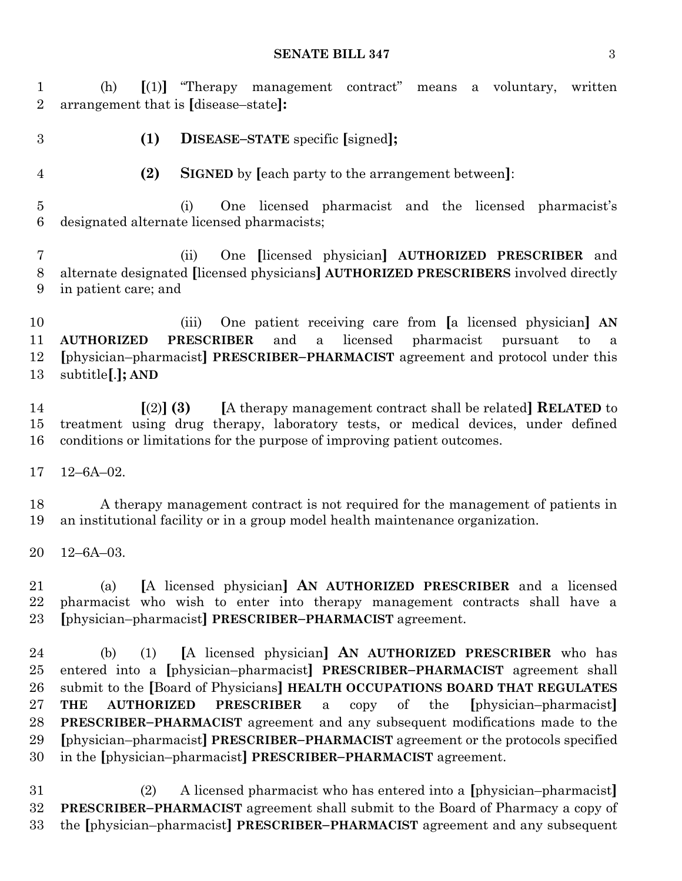#### **SENATE BILL 347** 3

 (h) **[**(1)**]** "Therapy management contract" means a voluntary, written arrangement that is **[**disease–state**]:**

**(1) DISEASE–STATE** specific **[**signed**];**

**(2) SIGNED** by **[**each party to the arrangement between**]**:

 (i) One licensed pharmacist and the licensed pharmacist's designated alternate licensed pharmacists;

 (ii) One **[**licensed physician**] AUTHORIZED PRESCRIBER** and alternate designated **[**licensed physicians**] AUTHORIZED PRESCRIBERS** involved directly in patient care; and

 (iii) One patient receiving care from **[**a licensed physician**] AN AUTHORIZED PRESCRIBER** and a licensed pharmacist pursuant to a **[**physician–pharmacist**] PRESCRIBER–PHARMACIST** agreement and protocol under this subtitle**[**.**]; AND**

 **[**(2)**] (3) [**A therapy management contract shall be related**] RELATED** to treatment using drug therapy, laboratory tests, or medical devices, under defined conditions or limitations for the purpose of improving patient outcomes.

12–6A–02.

 A therapy management contract is not required for the management of patients in an institutional facility or in a group model health maintenance organization.

12–6A–03.

 (a) **[**A licensed physician**] AN AUTHORIZED PRESCRIBER** and a licensed pharmacist who wish to enter into therapy management contracts shall have a **[**physician–pharmacist**] PRESCRIBER–PHARMACIST** agreement.

 (b) (1) **[**A licensed physician**] AN AUTHORIZED PRESCRIBER** who has entered into a **[**physician–pharmacist**] PRESCRIBER–PHARMACIST** agreement shall submit to the **[**Board of Physicians**] HEALTH OCCUPATIONS BOARD THAT REGULATES THE AUTHORIZED PRESCRIBER** a copy of the **[**physician–pharmacist**] PRESCRIBER–PHARMACIST** agreement and any subsequent modifications made to the **[**physician–pharmacist**] PRESCRIBER–PHARMACIST** agreement or the protocols specified in the **[**physician–pharmacist**] PRESCRIBER–PHARMACIST** agreement.

 (2) A licensed pharmacist who has entered into a **[**physician–pharmacist**] PRESCRIBER–PHARMACIST** agreement shall submit to the Board of Pharmacy a copy of the **[**physician–pharmacist**] PRESCRIBER–PHARMACIST** agreement and any subsequent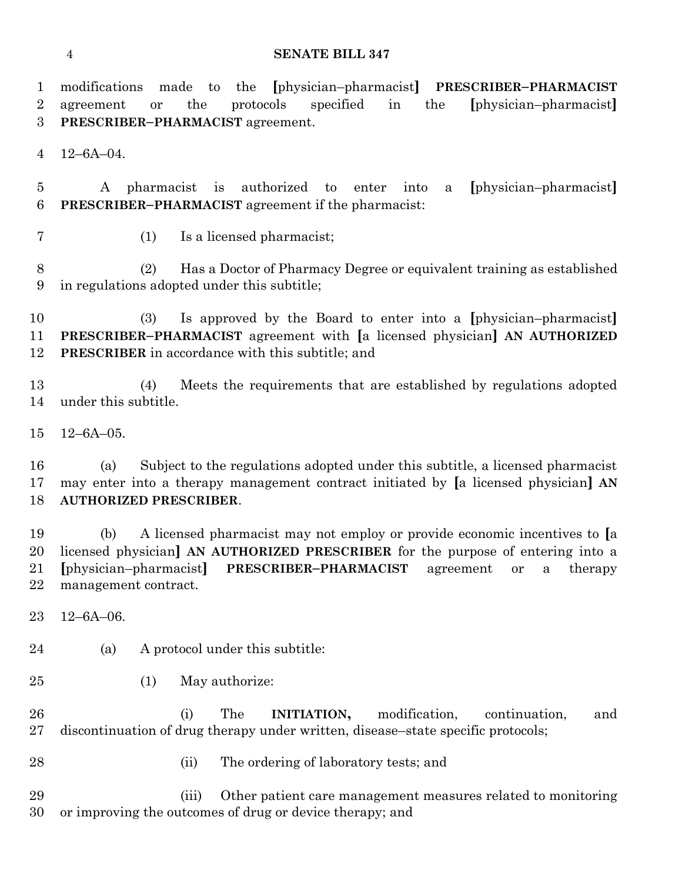#### **SENATE BILL 347**

 modifications made to the **[**physician–pharmacist**] PRESCRIBER–PHARMACIST** agreement or the protocols specified in the **[**physician–pharmacist**] PRESCRIBER–PHARMACIST** agreement. 12–6A–04. A pharmacist is authorized to enter into a **[**physician–pharmacist**] PRESCRIBER–PHARMACIST** agreement if the pharmacist: (1) Is a licensed pharmacist; (2) Has a Doctor of Pharmacy Degree or equivalent training as established in regulations adopted under this subtitle; (3) Is approved by the Board to enter into a **[**physician–pharmacist**] PRESCRIBER–PHARMACIST** agreement with **[**a licensed physician**] AN AUTHORIZED PRESCRIBER** in accordance with this subtitle; and (4) Meets the requirements that are established by regulations adopted under this subtitle. 12–6A–05. (a) Subject to the regulations adopted under this subtitle, a licensed pharmacist may enter into a therapy management contract initiated by **[**a licensed physician**] AN AUTHORIZED PRESCRIBER**. (b) A licensed pharmacist may not employ or provide economic incentives to **[**a licensed physician**] AN AUTHORIZED PRESCRIBER** for the purpose of entering into a **[**physician–pharmacist**] PRESCRIBER–PHARMACIST** agreement or a therapy management contract. 12–6A–06. (a) A protocol under this subtitle: (1) May authorize: (i) The **INITIATION,** modification, continuation, and discontinuation of drug therapy under written, disease–state specific protocols; (ii) The ordering of laboratory tests; and (iii) Other patient care management measures related to monitoring or improving the outcomes of drug or device therapy; and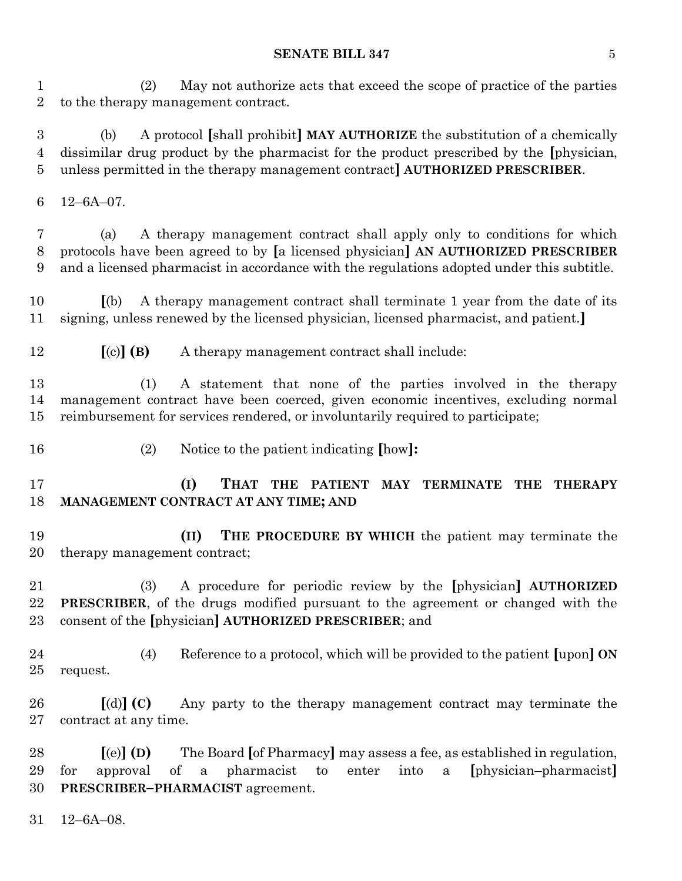#### **SENATE BILL 347** 5

 (2) May not authorize acts that exceed the scope of practice of the parties to the therapy management contract.

 (b) A protocol **[**shall prohibit**] MAY AUTHORIZE** the substitution of a chemically dissimilar drug product by the pharmacist for the product prescribed by the **[**physician, unless permitted in the therapy management contract**] AUTHORIZED PRESCRIBER**.

12–6A–07.

 (a) A therapy management contract shall apply only to conditions for which protocols have been agreed to by **[**a licensed physician**] AN AUTHORIZED PRESCRIBER** and a licensed pharmacist in accordance with the regulations adopted under this subtitle.

 **[**(b) A therapy management contract shall terminate 1 year from the date of its signing, unless renewed by the licensed physician, licensed pharmacist, and patient.**]**

**[**(c)**] (B)** A therapy management contract shall include:

 (1) A statement that none of the parties involved in the therapy management contract have been coerced, given economic incentives, excluding normal reimbursement for services rendered, or involuntarily required to participate;

- 
- (2) Notice to the patient indicating **[**how**]:**

 **(I) THAT THE PATIENT MAY TERMINATE THE THERAPY MANAGEMENT CONTRACT AT ANY TIME; AND**

 **(II) THE PROCEDURE BY WHICH** the patient may terminate the therapy management contract;

 (3) A procedure for periodic review by the **[**physician**] AUTHORIZED PRESCRIBER**, of the drugs modified pursuant to the agreement or changed with the consent of the **[**physician**] AUTHORIZED PRESCRIBER**; and

 (4) Reference to a protocol, which will be provided to the patient **[**upon**] ON** request.

 **[**(d)**] (C)** Any party to the therapy management contract may terminate the contract at any time.

 **[**(e)**] (D)** The Board **[**of Pharmacy**]** may assess a fee, as established in regulation, for approval of a pharmacist to enter into a **[**physician–pharmacist**] PRESCRIBER–PHARMACIST** agreement.

12–6A–08.